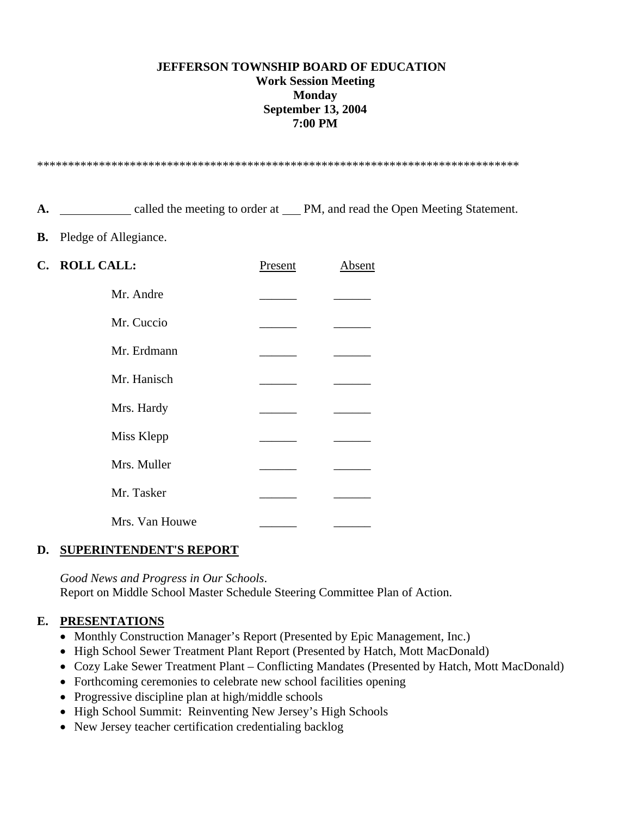## **JEFFERSON TOWNSHIP BOARD OF EDUCATION Work Session Meeting Monday September 13, 2004 7:00 PM**

\*\*\*\*\*\*\*\*\*\*\*\*\*\*\*\*\*\*\*\*\*\*\*\*\*\*\*\*\*\*\*\*\*\*\*\*\*\*\*\*\*\*\*\*\*\*\*\*\*\*\*\*\*\*\*\*\*\*\*\*\*\*\*\*\*\*\*\*\*\*\*\*\*\*\*\*\*\*

A.  $\qquad \qquad \qquad \text{called the meeting to order at } \qquad \text{PM, and read the Open Meeting Statement.}$ 

**B.** Pledge of Allegiance.

| C. ROLL CALL:  | Present | Absent |
|----------------|---------|--------|
| Mr. Andre      |         |        |
| Mr. Cuccio     |         |        |
| Mr. Erdmann    |         |        |
| Mr. Hanisch    |         |        |
| Mrs. Hardy     |         |        |
| Miss Klepp     |         |        |
| Mrs. Muller    |         |        |
| Mr. Tasker     |         |        |
| Mrs. Van Houwe |         |        |

#### **D. SUPERINTENDENT'S REPORT**

 *Good News and Progress in Our Schools*. Report on Middle School Master Schedule Steering Committee Plan of Action.

# **E. PRESENTATIONS**

- Monthly Construction Manager's Report (Presented by Epic Management, Inc.)
- High School Sewer Treatment Plant Report (Presented by Hatch, Mott MacDonald)
- Cozy Lake Sewer Treatment Plant Conflicting Mandates (Presented by Hatch, Mott MacDonald)
- Forthcoming ceremonies to celebrate new school facilities opening
- Progressive discipline plan at high/middle schools
- High School Summit: Reinventing New Jersey's High Schools
- New Jersey teacher certification credentialing backlog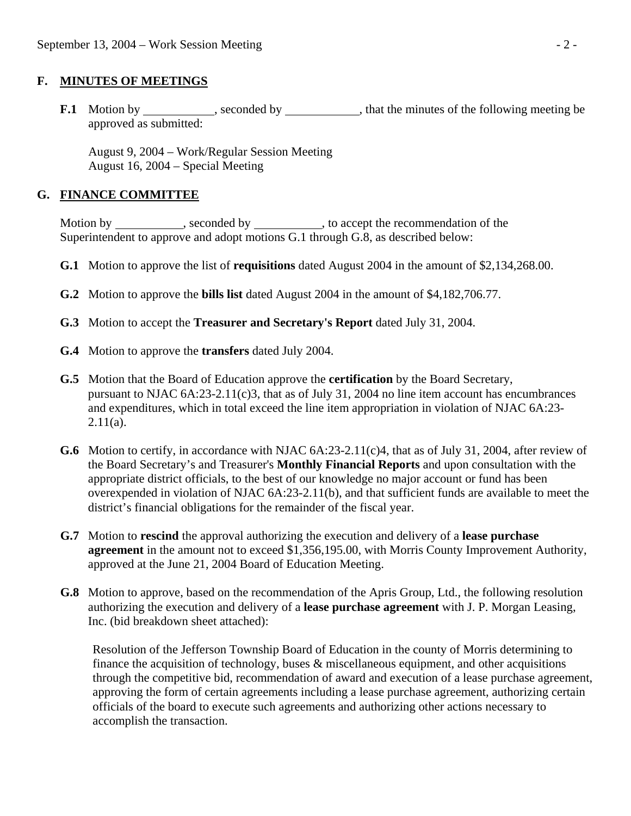## **F. MINUTES OF MEETINGS**

**F.1** Motion by seconded by  $\qquad$ , seconded by  $\qquad$ , that the minutes of the following meeting be approved as submitted:

 August 9, 2004 – Work/Regular Session Meeting August 16, 2004 – Special Meeting

## **G. FINANCE COMMITTEE**

Motion by \_\_\_\_\_\_\_\_\_\_, seconded by \_\_\_\_\_\_\_\_\_, to accept the recommendation of the Superintendent to approve and adopt motions G.1 through G.8, as described below:

- **G.1** Motion to approve the list of **requisitions** dated August 2004 in the amount of \$2,134,268.00.
- **G.2** Motion to approve the **bills list** dated August 2004 in the amount of \$4,182,706.77.
- **G.3** Motion to accept the **Treasurer and Secretary's Report** dated July 31, 2004.
- **G.4** Motion to approve the **transfers** dated July 2004.
- **G.5** Motion that the Board of Education approve the **certification** by the Board Secretary, pursuant to NJAC 6A:23-2.11(c)3, that as of July 31, 2004 no line item account has encumbrances and expenditures, which in total exceed the line item appropriation in violation of NJAC 6A:23-  $2.11(a)$ .
- **G.6** Motion to certify, in accordance with NJAC 6A:23-2.11(c)4, that as of July 31, 2004, after review of the Board Secretary's and Treasurer's **Monthly Financial Reports** and upon consultation with the appropriate district officials, to the best of our knowledge no major account or fund has been overexpended in violation of NJAC 6A:23-2.11(b), and that sufficient funds are available to meet the district's financial obligations for the remainder of the fiscal year.
- **G.7** Motion to **rescind** the approval authorizing the execution and delivery of a **lease purchase agreement** in the amount not to exceed \$1,356,195.00, with Morris County Improvement Authority, approved at the June 21, 2004 Board of Education Meeting.
- **G.8** Motion to approve, based on the recommendation of the Apris Group, Ltd., the following resolution authorizing the execution and delivery of a **lease purchase agreement** with J. P. Morgan Leasing, Inc. (bid breakdown sheet attached):

Resolution of the Jefferson Township Board of Education in the county of Morris determining to finance the acquisition of technology, buses  $\&$  miscellaneous equipment, and other acquisitions through the competitive bid, recommendation of award and execution of a lease purchase agreement, approving the form of certain agreements including a lease purchase agreement, authorizing certain officials of the board to execute such agreements and authorizing other actions necessary to accomplish the transaction.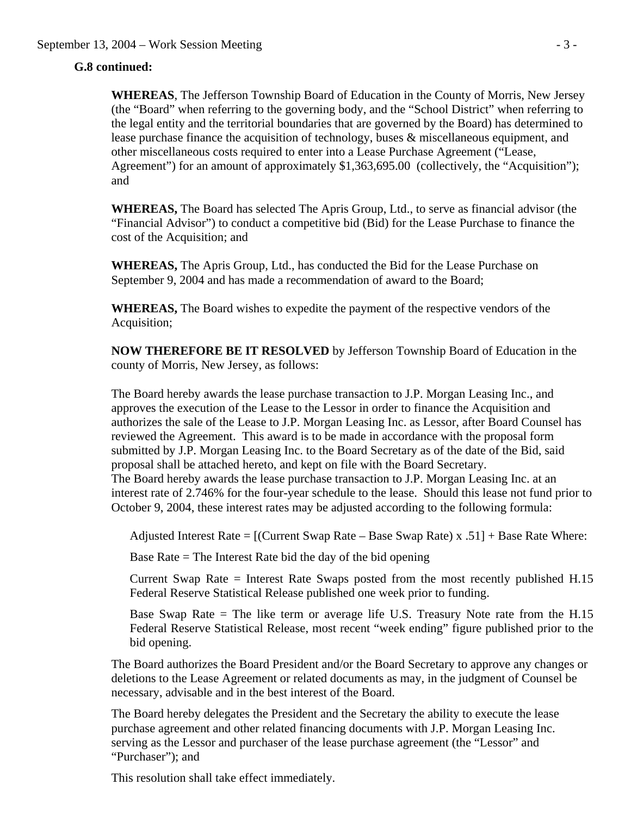# **G.8 continued:**

**WHEREAS**, The Jefferson Township Board of Education in the County of Morris, New Jersey (the "Board" when referring to the governing body, and the "School District" when referring to the legal entity and the territorial boundaries that are governed by the Board) has determined to lease purchase finance the acquisition of technology, buses & miscellaneous equipment, and other miscellaneous costs required to enter into a Lease Purchase Agreement ("Lease, Agreement") for an amount of approximately \$1,363,695.00 (collectively, the "Acquisition"); and

**WHEREAS,** The Board has selected The Apris Group, Ltd., to serve as financial advisor (the "Financial Advisor") to conduct a competitive bid (Bid) for the Lease Purchase to finance the cost of the Acquisition; and

**WHEREAS,** The Apris Group, Ltd., has conducted the Bid for the Lease Purchase on September 9, 2004 and has made a recommendation of award to the Board;

**WHEREAS,** The Board wishes to expedite the payment of the respective vendors of the Acquisition;

**NOW THEREFORE BE IT RESOLVED** by Jefferson Township Board of Education in the county of Morris, New Jersey, as follows:

The Board hereby awards the lease purchase transaction to J.P. Morgan Leasing Inc., and approves the execution of the Lease to the Lessor in order to finance the Acquisition and authorizes the sale of the Lease to J.P. Morgan Leasing Inc. as Lessor, after Board Counsel has reviewed the Agreement. This award is to be made in accordance with the proposal form submitted by J.P. Morgan Leasing Inc. to the Board Secretary as of the date of the Bid, said proposal shall be attached hereto, and kept on file with the Board Secretary. The Board hereby awards the lease purchase transaction to J.P. Morgan Leasing Inc. at an interest rate of 2.746% for the four-year schedule to the lease. Should this lease not fund prior to October 9, 2004, these interest rates may be adjusted according to the following formula:

Adjusted Interest Rate = [(Current Swap Rate – Base Swap Rate) x .51] + Base Rate Where:

Base Rate  $=$  The Interest Rate bid the day of the bid opening

 Current Swap Rate = Interest Rate Swaps posted from the most recently published H.15 Federal Reserve Statistical Release published one week prior to funding.

 Base Swap Rate = The like term or average life U.S. Treasury Note rate from the H.15 Federal Reserve Statistical Release, most recent "week ending" figure published prior to the bid opening.

The Board authorizes the Board President and/or the Board Secretary to approve any changes or deletions to the Lease Agreement or related documents as may, in the judgment of Counsel be necessary, advisable and in the best interest of the Board.

The Board hereby delegates the President and the Secretary the ability to execute the lease purchase agreement and other related financing documents with J.P. Morgan Leasing Inc. serving as the Lessor and purchaser of the lease purchase agreement (the "Lessor" and "Purchaser"); and

This resolution shall take effect immediately.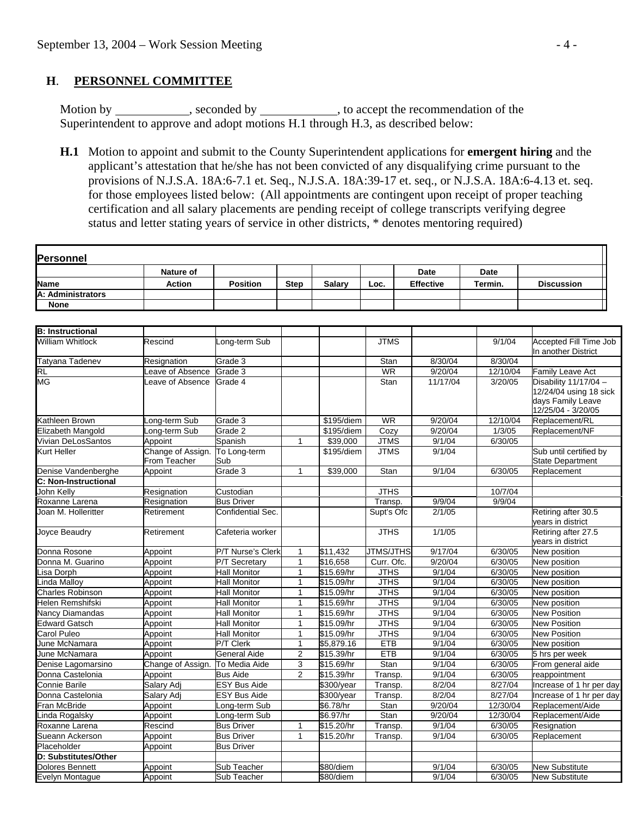## **H**. **PERSONNEL COMMITTEE**

Motion by \_\_\_\_\_\_\_\_\_\_, seconded by \_\_\_\_\_\_\_\_\_, to accept the recommendation of the Superintendent to approve and adopt motions H.1 through H.3, as described below:

 **H.1** Motion to appoint and submit to the County Superintendent applications for **emergent hiring** and the applicant's attestation that he/she has not been convicted of any disqualifying crime pursuant to the provisions of N.J.S.A. 18A:6-7.1 et. Seq., N.J.S.A. 18A:39-17 et. seq., or N.J.S.A. 18A:6-4.13 et. seq. for those employees listed below: (All appointments are contingent upon receipt of proper teaching certification and all salary placements are pending receipt of college transcripts verifying degree status and letter stating years of service in other districts, \* denotes mentoring required)

|                             | <b>Nature of</b>                         |                     |                |               |                  | <b>Date</b>      | <b>Date</b> |                                                                                            |
|-----------------------------|------------------------------------------|---------------------|----------------|---------------|------------------|------------------|-------------|--------------------------------------------------------------------------------------------|
| <b>Name</b>                 | <b>Action</b>                            | <b>Position</b>     | <b>Step</b>    | <b>Salary</b> | Loc.             | <b>Effective</b> | Termin.     | <b>Discussion</b>                                                                          |
| A: Administrators           |                                          |                     |                |               |                  |                  |             |                                                                                            |
| <b>None</b>                 |                                          |                     |                |               |                  |                  |             |                                                                                            |
|                             |                                          |                     |                |               |                  |                  |             |                                                                                            |
| <b>B: Instructional</b>     |                                          |                     |                |               |                  |                  |             |                                                                                            |
| <b>William Whitlock</b>     | Rescind                                  | ong-term Sub        |                |               | <b>JTMS</b>      |                  | 9/1/04      | <b>Accepted Fill Time Job</b><br>In another District                                       |
| Tatyana Tadenev             | Resignation                              | Grade 3             |                |               | Stan             | 8/30/04          | 8/30/04     |                                                                                            |
| <b>RL</b>                   | eave of Absence                          | Grade 3             |                |               | <b>WR</b>        | 9/20/04          | 12/10/04    | Family Leave Act                                                                           |
| <b>MG</b>                   | eave of Absence                          | Grade 4             |                |               | Stan             | 11/17/04         | 3/20/05     | Disability 11/17/04 -<br>12/24/04 using 18 sick<br>days Family Leave<br>12/25/04 - 3/20/05 |
| Kathleen Brown              | ong-term Sub                             | Grade 3             |                | \$195/diem    | WR               | 9/20/04          | 12/10/04    | Replacement/RL                                                                             |
| Elizabeth Mangold           | ong-term Sub                             | Grade 2             |                | \$195/diem    | Cozy             | 9/20/04          | 1/3/05      | Replacement/NF                                                                             |
| Vivian DeLosSantos          | Appoint                                  | Spanish             | 1              | \$39,000      | <b>JTMS</b>      | 9/1/04           | 6/30/05     |                                                                                            |
| Kurt Heller                 | Change of Assign.<br><b>From Teacher</b> | To Long-term<br>Sub |                | \$195/diem    | <b>JTMS</b>      | 9/1/04           |             | Sub until certified by<br>State Department                                                 |
| Denise Vandenberghe         | Appoint                                  | Grade 3             | $\mathbf{1}$   | \$39,000      | Stan             | 9/1/04           | 6/30/05     | Replacement                                                                                |
| <b>C: Non-Instructional</b> |                                          |                     |                |               |                  |                  |             |                                                                                            |
| John Kelly                  | Resignation                              | Custodian           |                |               | <b>JTHS</b>      |                  | 10/7/04     |                                                                                            |
| Roxanne Larena              | Resignation                              | <b>Bus Driver</b>   |                |               | Transp.          | 9/9/04           | 9/9/04      |                                                                                            |
| Joan M. Holleritter         | Retirement                               | Confidential Sec.   |                |               | Supt's Ofc       | 2/1/05           |             | Retiring after 30.5<br>vears in district                                                   |
| Joyce Beaudry               | Retirement                               | Cafeteria worker    |                |               | <b>JTHS</b>      | 1/1/05           |             | Retiring after 27.5<br>years in district                                                   |
| Donna Rosone                | Appoint                                  | P/T Nurse's Clerk   | $\mathbf{1}$   | \$11,432      | <b>JTMS/JTHS</b> | 9/17/04          | 6/30/05     | New position                                                                               |
| Donna M. Guarino            | Appoint                                  | P/T Secretary       | $\mathbf{1}$   | \$16,658      | Curr. Ofc.       | 9/20/04          | 6/30/05     | New position                                                                               |
| isa Dorph                   | Appoint                                  | <b>Hall Monitor</b> | 1              | \$15.69/hr    | <b>JTHS</b>      | 9/1/04           | 6/30/05     | New position                                                                               |
| inda Malloy                 | Appoint                                  | <b>Hall Monitor</b> | $\mathbf{1}$   | \$15.09/hr    | <b>JTHS</b>      | 9/1/04           | 6/30/05     | New position                                                                               |
| <b>Charles Robinson</b>     | Appoint                                  | <b>Hall Monitor</b> | 1              | \$15.09/hr    | <b>JTHS</b>      | 9/1/04           | 6/30/05     | New position                                                                               |
| Helen Remshifski            | Appoint                                  | <b>Hall Monitor</b> | $\mathbf{1}$   | \$15.69/hr    | <b>JTHS</b>      | 9/1/04           | 6/30/05     | New position                                                                               |
| Nancy Diamandas             | Appoint                                  | <b>Hall Monitor</b> | 1              | \$15.69/hr    | <b>JTHS</b>      | 9/1/04           | 6/30/05     | <b>New Position</b>                                                                        |
| <b>Edward Gatsch</b>        | Appoint                                  | <b>Hall Monitor</b> | 1              | \$15.09/hr    | <b>JTHS</b>      | 9/1/04           | 6/30/05     | <b>New Position</b>                                                                        |
| Carol Puleo                 | Appoint                                  | <b>Hall Monitor</b> | $\mathbf{1}$   | \$15.09/hr    | <b>JTHS</b>      | 9/1/04           | 6/30/05     | <b>New Position</b>                                                                        |
| June McNamara               | Appoint                                  | P/T Clerk           | $\mathbf{1}$   | \$5,879.16    | <b>ETB</b>       | 9/1/04           | 6/30/05     | New position                                                                               |
| June McNamara               | Appoint                                  | General Aide        | $\overline{c}$ | \$15.39/hr    | <b>ETB</b>       | 9/1/04           | 6/30/05     | 5 hrs per week                                                                             |
| Denise Lagomarsino          | Change of Assign.                        | To Media Aide       | 3              | \$15.69/hr    | Stan             | 9/1/04           | 6/30/05     | From general aide                                                                          |
| Donna Castelonia            | Appoint                                  | <b>Bus Aide</b>     | $\overline{2}$ | \$15.39/hr    | Transp.          | 9/1/04           | 6/30/05     | reappointment                                                                              |
| Connie Barile               | Salary Adj                               | <b>ESY Bus Aide</b> |                | \$300/year    | Transp.          | 8/2/04           | 8/27/04     | Increase of 1 hr per day                                                                   |
| Donna Castelonia            | Salary Adj                               | <b>ESY Bus Aide</b> |                | \$300/year    | Transp.          | 8/2/04           | 8/27/04     | Increase of 1 hr per day                                                                   |
| Fran McBride                | Appoint                                  | ong-term Sub        |                | \$6.78/hr     | Stan             | 9/20/04          | 12/30/04    | Replacement/Aide                                                                           |
| inda Rogalsky               | Appoint                                  | Long-term Sub       |                | \$6.97/hr     | Stan             | 9/20/04          | 12/30/04    | Replacement/Aide                                                                           |
| Roxanne Larena              | Rescind                                  | <b>Bus Driver</b>   | $\mathbf{1}$   | \$15.20/hr    | Transp.          | 9/1/04           | 6/30/05     | Resignation                                                                                |
| Sueann Ackerson             | Appoint                                  | <b>Bus Driver</b>   | $\mathbf{1}$   | \$15.20/hr    | Transp.          | 9/1/04           | 6/30/05     | Replacement                                                                                |
| Placeholder                 | Appoint                                  | <b>Bus Driver</b>   |                |               |                  |                  |             |                                                                                            |
| D: Substitutes/Other        |                                          |                     |                |               |                  |                  |             |                                                                                            |
| <b>Dolores Bennett</b>      | Appoint                                  | Sub Teacher         |                | \$80/diem     |                  | 9/1/04           | 6/30/05     | <b>New Substitute</b>                                                                      |
| <b>Evelyn Montague</b>      | Appoint                                  | Sub Teacher         |                | \$80/diem     |                  | 9/1/04           | 6/30/05     | <b>New Substitute</b>                                                                      |

 $\blacksquare$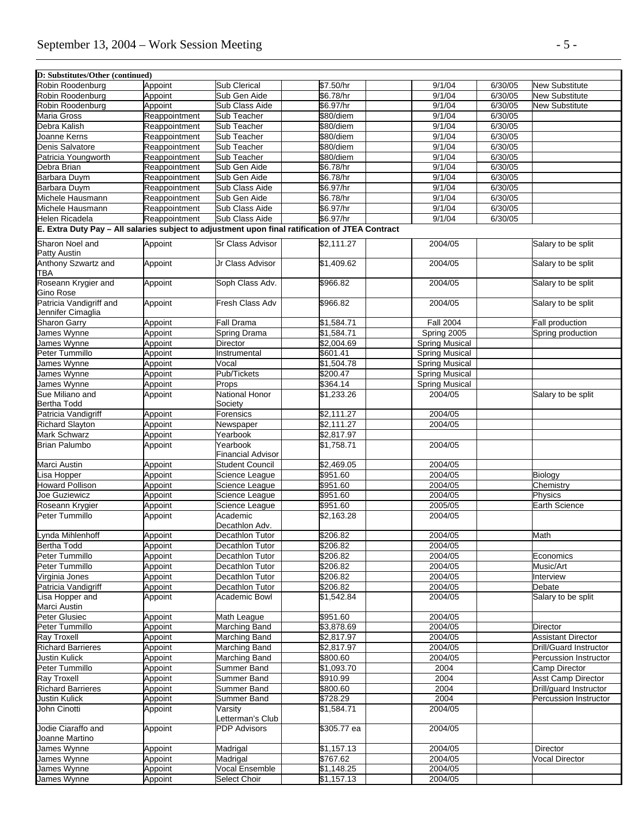| D: Substitutes/Other (continued) |               |                                      |                                                                                                 |                       |         |                              |
|----------------------------------|---------------|--------------------------------------|-------------------------------------------------------------------------------------------------|-----------------------|---------|------------------------------|
| Robin Roodenburg                 | Appoint       | <b>Sub Clerical</b>                  | \$7.50/hr                                                                                       | 9/1/04                | 6/30/05 | <b>New Substitute</b>        |
| Robin Roodenburg                 | Appoint       | Sub Gen Aide                         | \$6.78/hr                                                                                       | 9/1/04                | 6/30/05 | <b>New Substitute</b>        |
| Robin Roodenburg                 | Appoint       | Sub Class Aide                       | \$6.97/hr                                                                                       | 9/1/04                | 6/30/05 | <b>New Substitute</b>        |
| Maria Gross                      | Reappointment | Sub Teacher                          | \$80/diem                                                                                       | 9/1/04                | 6/30/05 |                              |
| Debra Kalish                     | Reappointment | Sub Teacher                          | \$80/diem                                                                                       | 9/1/04                | 6/30/05 |                              |
| Joanne Kerns                     | Reappointment | Sub Teacher                          | \$80/diem                                                                                       | 9/1/04                | 6/30/05 |                              |
| Denis Salvatore                  | Reappointment | Sub Teacher                          | \$80/diem                                                                                       | 9/1/04                | 6/30/05 |                              |
| Patricia Youngworth              | Reappointment | Sub Teacher                          | \$80/diem                                                                                       | 9/1/04                | 6/30/05 |                              |
| Debra Brian                      | Reappointment | Sub Gen Aide                         | \$6.78/hr                                                                                       | 9/1/04                | 6/30/05 |                              |
| Barbara Duym                     | Reappointment | Sub Gen Aide                         | \$6.78/hr                                                                                       | 9/1/04                | 6/30/05 |                              |
| <b>Barbara Duvm</b>              | Reappointment | Sub Class Aide                       | \$6.97/hr                                                                                       | 9/1/04                | 6/30/05 |                              |
| Michele Hausmann                 | Reappointment | Sub Gen Aide                         | \$6.78/hr                                                                                       | 9/1/04                | 6/30/05 |                              |
| Michele Hausmann                 | Reappointment | Sub Class Aide                       | \$6.97/hr                                                                                       | 9/1/04                | 6/30/05 |                              |
| Helen Ricadela                   | Reappointment | Sub Class Aide                       | \$6.97/hr                                                                                       | 9/1/04                | 6/30/05 |                              |
|                                  |               |                                      | E. Extra Duty Pay - All salaries subject to adjustment upon final ratification of JTEA Contract |                       |         |                              |
|                                  |               |                                      |                                                                                                 |                       |         |                              |
| Sharon Noel and                  | Appoint       | <b>Sr Class Advisor</b>              | $\sqrt{$2,111.27}$                                                                              | 2004/05               |         | Salary to be split           |
| Patty Austin                     |               |                                      |                                                                                                 |                       |         |                              |
| Anthony Szwartz and              | Appoint       | Jr Class Advisor                     | \$1,409.62                                                                                      | 2004/05               |         | Salary to be split           |
| TBA                              |               |                                      |                                                                                                 |                       |         |                              |
| Roseann Krygier and              | Appoint       | Soph Class Adv.                      | \$966.82                                                                                        | 2004/05               |         | Salary to be split           |
| Gino Rose                        |               |                                      |                                                                                                 |                       |         |                              |
| Patricia Vandigriff and          | Appoint       | Fresh Class Adv                      | \$966.82                                                                                        | 2004/05               |         | Salary to be split           |
| Jennifer Cimaglia                |               |                                      |                                                                                                 |                       |         |                              |
| <b>Sharon Garry</b>              | Appoint       | <b>Fall Drama</b>                    | \$1.584.71                                                                                      | <b>Fall 2004</b>      |         | Fall production              |
| James Wynne                      | Appoint       | Spring Drama                         | \$1,584.71                                                                                      | Spring 2005           |         | Spring production            |
| James Wynne                      | Appoint       | <b>Director</b>                      | $\sqrt{2,004.69}$                                                                               | <b>Spring Musical</b> |         |                              |
| Peter Tummillo                   | Appoint       | <b>Instrumental</b>                  | \$601.41                                                                                        | <b>Spring Musical</b> |         |                              |
| James Wynne                      | Appoint       | Vocal                                | \$1,504.78                                                                                      | Spring Musical        |         |                              |
| James Wynne                      | Appoint       | Pub/Tickets                          | \$200.47                                                                                        | <b>Spring Musical</b> |         |                              |
| James Wynne                      | Appoint       | Props                                | \$364.14                                                                                        | <b>Spring Musical</b> |         |                              |
| Sue Miliano and                  | Appoint       | National Honor                       | \$1,233.26                                                                                      | 2004/05               |         | Salary to be split           |
| <b>Bertha Todd</b>               |               | Society                              |                                                                                                 |                       |         |                              |
| Patricia Vandigriff              | Appoint       | Forensics                            | \$2,111.27                                                                                      | 2004/05               |         |                              |
| <b>Richard Slayton</b>           | Appoint       | Newspaper                            | \$2,111.27                                                                                      | 2004/05               |         |                              |
| <b>Mark Schwarz</b>              | Appoint       | Yearbook                             | \$2,817.97                                                                                      |                       |         |                              |
| <b>Brian Palumbo</b>             | Appoint       | Yearbook<br><b>Financial Advisor</b> | \$1,758.71                                                                                      | 2004/05               |         |                              |
| Marci Austin                     | Appoint       | <b>Student Council</b>               | \$2,469.05                                                                                      | 2004/05               |         |                              |
| isa Hopper                       | Appoint       | Science League                       | \$951.60                                                                                        | 2004/05               |         | <b>Biology</b>               |
| Howard Pollison                  | Appoint       | Science League                       | \$951.60                                                                                        | 2004/05               |         | Chemistry                    |
| Joe Guziewicz                    | Appoint       | Science League                       | \$951.60                                                                                        | 2004/05               |         | Physics                      |
| Roseann Krygier                  | Appoint       | Science League                       | \$951.60                                                                                        | 2005/05               |         | <b>Earth Science</b>         |
| Peter Tummillo                   | Appoint       | Academic                             | \$2,163.28                                                                                      | 2004/05               |         |                              |
|                                  |               | Decathlon Adv.                       |                                                                                                 |                       |         |                              |
| Lynda Mihlenhoff                 | Appoint       | Decathlon Tutor                      | \$206.82                                                                                        | 2004/05               |         | Math                         |
| <b>Bertha Todd</b>               | Appoint       | Decathlon Tutor                      | \$206.82                                                                                        | 2004/05               |         |                              |
| Peter Tummillo                   | Appoint       | Decathlon Tutor                      | \$206.82                                                                                        | 2004/05               |         | Economics                    |
| Peter Tummillo                   | Appoint       | Decathlon Tutor                      | \$206.82                                                                                        | 2004/05               |         | Music/Art                    |
| Virginia Jones                   | Appoint       | Decathlon Tutor                      | \$206.82                                                                                        | 2004/05               |         | Interview                    |
| Patricia Vandigriff              | Appoint       | Decathlon Tutor                      | \$206.82                                                                                        | 2004/05               |         | Debate                       |
| Lisa Hopper and                  | Appoint       | Academic Bowl                        | \$1,542.84                                                                                      | 2004/05               |         | Salary to be split           |
| Marci Austin                     |               |                                      |                                                                                                 |                       |         |                              |
| Peter Glusiec                    | Appoint       | Math League                          | \$951.60                                                                                        | 2004/05               |         |                              |
| Peter Tummillo                   | Appoint       | Marching Band                        | \$3,878.69                                                                                      | 2004/05               |         | Director                     |
| <b>Ray Troxell</b>               | Appoint       | Marching Band                        | \$2,817.97                                                                                      | 2004/05               |         | <b>Assistant Director</b>    |
| <b>Richard Barrieres</b>         | Appoint       | Marching Band                        | \$2,817.97                                                                                      | 2004/05               |         | Drill/Guard Instructor       |
| Justin Kulick                    | Appoint       | Marching Band                        | \$800.60                                                                                        | 2004/05               |         | <b>Percussion Instructor</b> |
| Peter Tummillo                   | Appoint       | Summer Band                          | \$1,093.70                                                                                      | 2004                  |         | Camp Director                |
|                                  |               |                                      |                                                                                                 |                       |         |                              |
| Ray Troxell                      | Appoint       | Summer Band                          | \$910.99                                                                                        | 2004                  |         | <b>Asst Camp Director</b>    |
| <b>Richard Barrieres</b>         | Appoint       | Summer Band                          | \$800.60                                                                                        | 2004                  |         | Drill/guard Instructor       |
| Justin Kulick                    | Appoint       | Summer Band                          | \$728.29                                                                                        | 2004                  |         | Percussion Instructor        |
| John Cinotti                     | Appoint       | Varsity                              | \$1,584.71                                                                                      | 2004/05               |         |                              |
|                                  |               | Letterman's Club                     |                                                                                                 |                       |         |                              |
| Jodie Ciaraffo and               | Appoint       | <b>PDP Advisors</b>                  | \$305.77 ea                                                                                     | 2004/05               |         |                              |
| Joanne Martino                   |               |                                      |                                                                                                 |                       |         |                              |
| James Wynne                      | Appoint       | Madrigal                             | $\overline{\$1,157.13}$                                                                         | 2004/05               |         | Director                     |
| James Wynne                      | Appoint       | Madrigal                             | \$767.62                                                                                        | 2004/05               |         | Vocal Director               |
| James Wynne                      | Appoint       | Vocal Ensemble                       | \$1,148.25                                                                                      | 2004/05               |         |                              |
| James Wynne                      | Appoint       | Select Choir                         | \$1,157.13                                                                                      | 2004/05               |         |                              |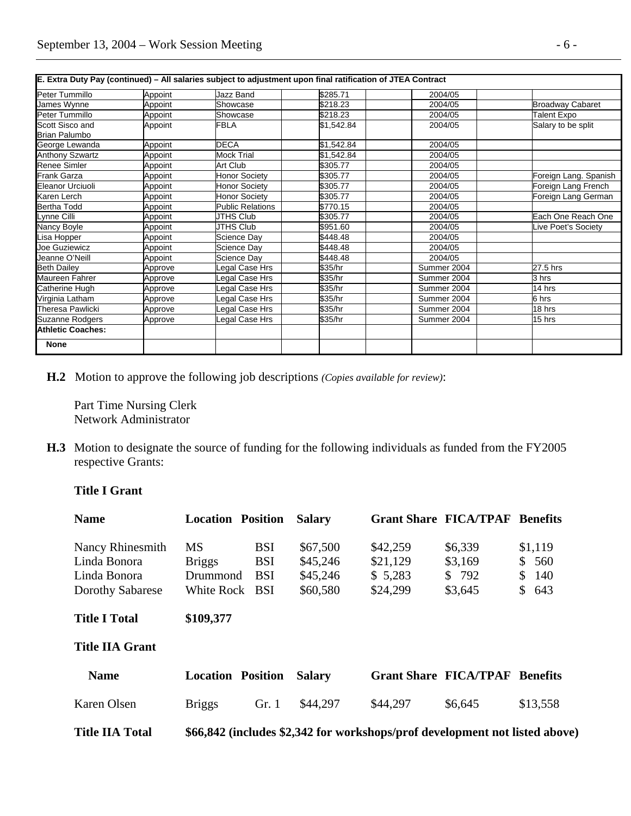| E. Extra Duty Pay (continued) - All salaries subject to adjustment upon final ratification of JTEA Contract |         |                         |            |             |                         |  |  |
|-------------------------------------------------------------------------------------------------------------|---------|-------------------------|------------|-------------|-------------------------|--|--|
| Peter Tummillo                                                                                              | Appoint | Jazz Band               | \$285.71   | 2004/05     |                         |  |  |
| James Wvnne                                                                                                 | Appoint | Showcase                | \$218.23   | 2004/05     | <b>Broadway Cabaret</b> |  |  |
| Peter Tummillo                                                                                              | Appoint | Showcase                | \$218.23   | 2004/05     | Talent Expo             |  |  |
| Scott Sisco and<br>Brian Palumbo                                                                            | Appoint | <b>FBLA</b>             | \$1,542.84 | 2004/05     | Salary to be split      |  |  |
| George Lewanda                                                                                              | Appoint | <b>DECA</b>             | \$1,542.84 | 2004/05     |                         |  |  |
| <b>Anthony Szwartz</b>                                                                                      | Appoint | <b>Mock Trial</b>       | \$1,542.84 | 2004/05     |                         |  |  |
| Renee Simler                                                                                                | Appoint | <b>Art Club</b>         | \$305.77   | 2004/05     |                         |  |  |
| <b>Frank Garza</b>                                                                                          | Appoint | Honor Society           | \$305.77   | 2004/05     | Foreign Lang. Spanish   |  |  |
| <b>Eleanor Urciuoli</b>                                                                                     | Appoint | <b>Honor Society</b>    | \$305.77   | 2004/05     | Foreign Lang French     |  |  |
| Karen Lerch                                                                                                 | Appoint | <b>Honor Society</b>    | \$305.77   | 2004/05     | Foreign Lang German     |  |  |
| Bertha Todd                                                                                                 | Appoint | <b>Public Relations</b> | \$770.15   | 2004/05     |                         |  |  |
| Lynne Cilli                                                                                                 | Appoint | <b>JTHS Club</b>        | \$305.77   | 2004/05     | Each One Reach One      |  |  |
| Nancy Boyle                                                                                                 | Appoint | <b>JTHS Club</b>        | \$951.60   | 2004/05     | Live Poet's Society     |  |  |
| Lisa Hopper                                                                                                 | Appoint | Science Day             | \$448.48   | 2004/05     |                         |  |  |
| Joe Guziewicz                                                                                               | Appoint | Science Day             | \$448.48   | 2004/05     |                         |  |  |
| Jeanne O'Neill                                                                                              | Appoint | Science Day             | \$448.48   | 2004/05     |                         |  |  |
| <b>Beth Dailey</b>                                                                                          | Approve | Legal Case Hrs          | \$35/hr    | Summer 2004 | 27.5 hrs                |  |  |
| Maureen Fahrer                                                                                              | Approve | Legal Case Hrs          | \$35/hr    | Summer 2004 | 3 hrs                   |  |  |
| Catherine Hugh                                                                                              | Approve | Legal Case Hrs          | \$35/hr    | Summer 2004 | 14 hrs                  |  |  |
| Virginia Latham                                                                                             | Approve | Legal Case Hrs          | \$35/hr    | Summer 2004 | 6 hrs                   |  |  |
| Theresa Pawlicki                                                                                            | Approve | Legal Case Hrs          | \$35/hr    | Summer 2004 | 18 hrs                  |  |  |
| Suzanne Rodgers                                                                                             | Approve | Legal Case Hrs          | \$35/hr    | Summer 2004 | 15 hrs                  |  |  |
| <b>Athletic Coaches:</b>                                                                                    |         |                         |            |             |                         |  |  |
| <b>None</b>                                                                                                 |         |                         |            |             |                         |  |  |

 **H.2** Motion to approve the following job descriptions *(Copies available for review)*:

 Part Time Nursing Clerk Network Administrator

**H.3** Motion to designate the source of funding for the following individuals as funded from the FY2005 respective Grants:

#### **Title I Grant**

| <b>Name</b>            | <b>Location Position</b>                                                    | <b>Salary</b> |          | <b>Grant Share FICA/TPAF Benefits</b> |                     |
|------------------------|-----------------------------------------------------------------------------|---------------|----------|---------------------------------------|---------------------|
| Nancy Rhinesmith       | <b>MS</b><br><b>BSI</b>                                                     | \$67,500      | \$42,259 | \$6,339                               | \$1,119             |
| Linda Bonora           | <b>BSI</b><br><b>Briggs</b>                                                 | \$45,246      | \$21,129 | \$3,169                               | \$<br>560           |
| Linda Bonora           | <b>BSI</b><br>Drummond                                                      | \$45,246      | \$5,283  | \$792                                 | 140<br><sup>S</sup> |
| Dorothy Sabarese       | White Rock BSI                                                              | \$60,580      | \$24,299 | \$3,645                               | S.<br>643           |
| <b>Title I Total</b>   | \$109,377                                                                   |               |          |                                       |                     |
| <b>Title IIA Grant</b> |                                                                             |               |          |                                       |                     |
| <b>Name</b>            | <b>Location Position</b>                                                    | <b>Salary</b> |          | <b>Grant Share FICA/TPAF Benefits</b> |                     |
| Karen Olsen            | Gr. 1<br><b>Briggs</b>                                                      | \$44,297      | \$44,297 | \$6,645                               | \$13,558            |
| <b>Title IIA Total</b> | \$66,842 (includes \$2,342 for workshops/prof development not listed above) |               |          |                                       |                     |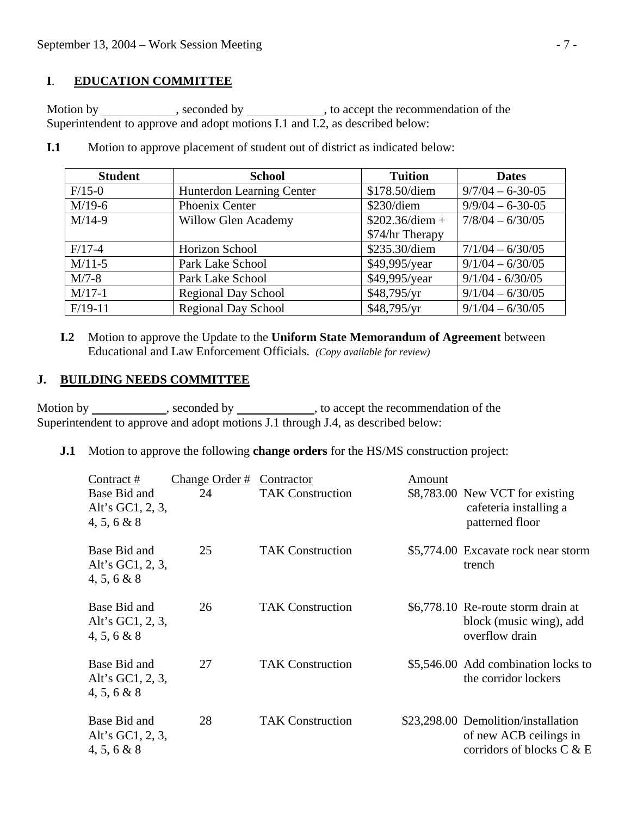# **I**. **EDUCATION COMMITTEE**

Motion by \_\_\_\_\_\_\_\_\_\_\_, seconded by \_\_\_\_\_\_\_\_\_\_\_, to accept the recommendation of the Superintendent to approve and adopt motions I.1 and I.2, as described below:

| <b>Student</b> | <b>School</b>              | <b>Tuition</b>  | <b>Dates</b>       |
|----------------|----------------------------|-----------------|--------------------|
| $F/15-0$       | Hunterdon Learning Center  | \$178.50/diem   | $9/7/04 - 6-30-05$ |
| $M/19-6$       | Phoenix Center             | \$230/diem      | $9/9/04 - 6-30-05$ |
| $M/14-9$       | <b>Willow Glen Academy</b> |                 | $7/8/04 - 6/30/05$ |
|                |                            | \$74/hr Therapy |                    |
| $F/17-4$       | Horizon School             | \$235.30/diem   | $7/1/04 - 6/30/05$ |
| $M/11-5$       | Park Lake School           | \$49,995/year   | $9/1/04 - 6/30/05$ |
| $M/7-8$        | Park Lake School           | \$49,995/year   | $9/1/04 - 6/30/05$ |
| $M/17-1$       | <b>Regional Day School</b> | \$48,795/yr     | $9/1/04 - 6/30/05$ |
| $F/19-11$      | <b>Regional Day School</b> | \$48,795/yr     | $9/1/04 - 6/30/05$ |

**I.1** Motion to approve placement of student out of district as indicated below:

 **I.2** Motion to approve the Update to the **Uniform State Memorandum of Agreement** between Educational and Law Enforcement Officials. *(Copy available for review)* 

## **J. BUILDING NEEDS COMMITTEE**

Motion by seconded by seconded by seconded by seconded by seconded by seconded by seconded by seconded by seconded by seconded by seconded by seconded by seconded by seconded by seconded by seconded by seconded by seconded Superintendent to approve and adopt motions J.1 through J.4, as described below:

**J.1** Motion to approve the following **change orders** for the HS/MS construction project:

| Contract #<br>Base Bid and<br>Alt's GC1, 2, 3,<br>4, 5, 6 & 8 | Change Order #<br>24 | Contractor<br><b>TAK Construction</b> | Amount | \$8,783.00 New VCT for existing<br>cafeteria installing a<br>patterned floor               |
|---------------------------------------------------------------|----------------------|---------------------------------------|--------|--------------------------------------------------------------------------------------------|
| Base Bid and<br>Alt's GC1, 2, 3,<br>$4, 5, 6 \& 8$            | 25                   | <b>TAK Construction</b>               |        | \$5,774.00 Excavate rock near storm<br>trench                                              |
| Base Bid and<br>Alt's GC1, 2, 3,<br>4, 5, 6 & 8               | 26                   | <b>TAK Construction</b>               |        | \$6,778.10 Re-route storm drain at<br>block (music wing), add<br>overflow drain            |
| Base Bid and<br>Alt's GC1, 2, 3,<br>$4, 5, 6 \& 8$            | 27                   | <b>TAK Construction</b>               |        | \$5,546.00 Add combination locks to<br>the corridor lockers                                |
| Base Bid and<br>Alt's GC1, 2, 3,<br>4, 5, 6 & 8               | 28                   | <b>TAK Construction</b>               |        | \$23,298.00 Demolition/installation<br>of new ACB ceilings in<br>corridors of blocks C & E |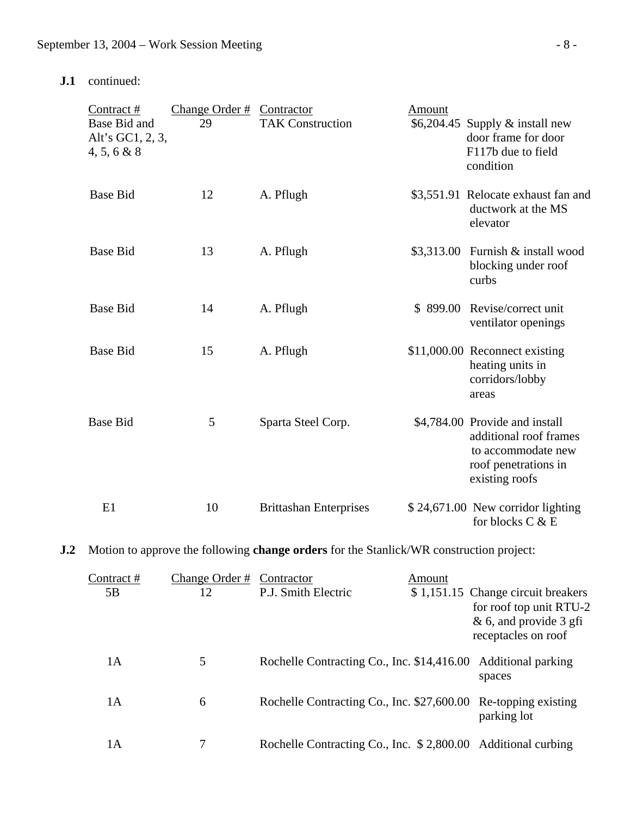**J.1** continued:

| Contract#<br>Base Bid and<br>Alt's GC1, 2, 3,<br>4, 5, 6 & 8 | Change Order $#$<br>29 | Contractor<br><b>TAK Construction</b> | Amount   | $$6,204.45$ Supply & install new<br>door frame for door<br>F117b due to field<br>condition                               |
|--------------------------------------------------------------|------------------------|---------------------------------------|----------|--------------------------------------------------------------------------------------------------------------------------|
| <b>Base Bid</b>                                              | 12                     | A. Pflugh                             |          | \$3,551.91 Relocate exhaust fan and<br>ductwork at the MS<br>elevator                                                    |
| <b>Base Bid</b>                                              | 13                     | A. Pflugh                             |          | $$3,313.00$ Furnish & install wood<br>blocking under roof<br>curbs                                                       |
| <b>Base Bid</b>                                              | 14                     | A. Pflugh                             | \$899.00 | Revise/correct unit<br>ventilator openings                                                                               |
| <b>Base Bid</b>                                              | 15                     | A. Pflugh                             |          | \$11,000.00 Reconnect existing<br>heating units in<br>corridors/lobby<br>areas                                           |
| <b>Base Bid</b>                                              | 5                      | Sparta Steel Corp.                    |          | \$4,784.00 Provide and install<br>additional roof frames<br>to accommodate new<br>roof penetrations in<br>existing roofs |
| E1                                                           | 10                     | <b>Brittashan Enterprises</b>         |          | \$24,671.00 New corridor lighting<br>for blocks C & E                                                                    |

**J.2** Motion to approve the following **change orders** for the Stanlick/WR construction project:

| Contract#<br>5B | Change Order #<br>12 | Contractor<br>P.J. Smith Electric                              | Amount | \$1,151.15 Change circuit breakers<br>for roof top unit RTU-2<br>$& 6$ , and provide 3 gfi<br>receptacles on roof |
|-----------------|----------------------|----------------------------------------------------------------|--------|-------------------------------------------------------------------------------------------------------------------|
| 1A              | 5                    | Rochelle Contracting Co., Inc. \$14,416.00 Additional parking  |        | spaces                                                                                                            |
| 1А              | 6                    | Rochelle Contracting Co., Inc. \$27,600.00 Re-topping existing |        | parking lot                                                                                                       |
| 1А              |                      | Rochelle Contracting Co., Inc. \$2,800.00 Additional curbing   |        |                                                                                                                   |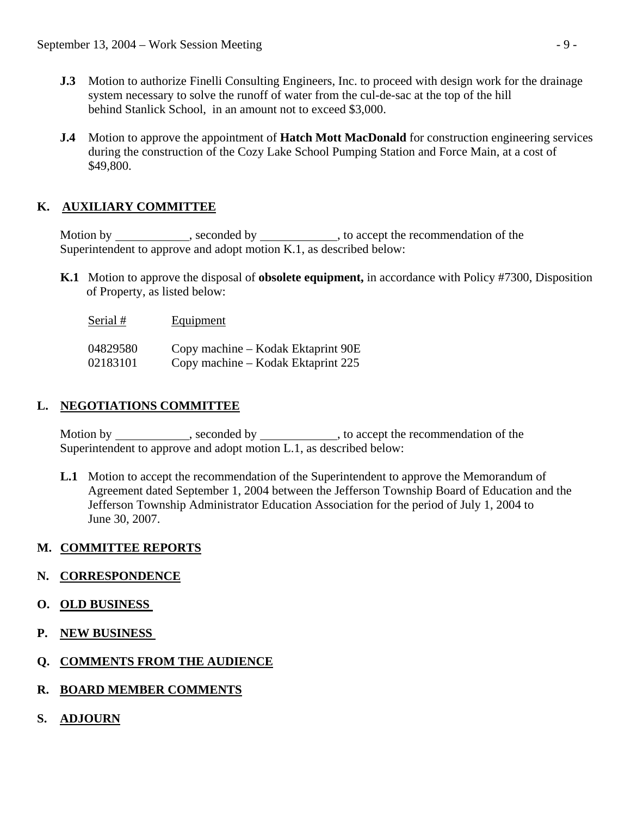- **J.3** Motion to authorize Finelli Consulting Engineers, Inc. to proceed with design work for the drainage system necessary to solve the runoff of water from the cul-de-sac at the top of the hill behind Stanlick School, in an amount not to exceed \$3,000.
- **J.4** Motion to approve the appointment of **Hatch Mott MacDonald** for construction engineering services during the construction of the Cozy Lake School Pumping Station and Force Main, at a cost of \$49,800.

# **K. AUXILIARY COMMITTEE**

Motion by , seconded by , to accept the recommendation of the Superintendent to approve and adopt motion K.1, as described below:

- **K.1** Motion to approve the disposal of **obsolete equipment,** in accordance with Policy #7300, Disposition of Property, as listed below:
	- Serial # Equipment

| 04829580 | Copy machine – Kodak Ektaprint 90E |
|----------|------------------------------------|
| 02183101 | Copy machine – Kodak Ektaprint 225 |

# **L. NEGOTIATIONS COMMITTEE**

Motion by \_\_\_\_\_\_\_\_\_\_\_, seconded by \_\_\_\_\_\_\_\_\_\_, to accept the recommendation of the Superintendent to approve and adopt motion L.1, as described below:

 **L.1** Motion to accept the recommendation of the Superintendent to approve the Memorandum of Agreement dated September 1, 2004 between the Jefferson Township Board of Education and the Jefferson Township Administrator Education Association for the period of July 1, 2004 to June 30, 2007.

# **M. COMMITTEE REPORTS**

# **N. CORRESPONDENCE**

- **O. OLD BUSINESS**
- **P. NEW BUSINESS**
- **Q. COMMENTS FROM THE AUDIENCE**
- **R. BOARD MEMBER COMMENTS**
- **S. ADJOURN**